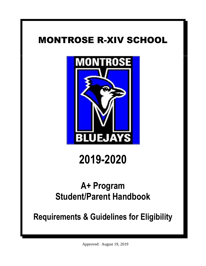# MONTROSE R-XIV SCHOOL



# **2019-2020**

# **A+ Program Student/Parent Handbook**

**Requirements & Guidelines for Eligibility**

Approved: August 19, 2019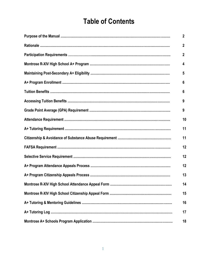# **Table of Contents**

| $\overline{2}$ |
|----------------|
| $\mathbf{2}$   |
| $\mathbf{2}$   |
| 4              |
| 5              |
| 6              |
| 6              |
| 9              |
| 9              |
| 10             |
| 11             |
| 11             |
| 12             |
| 12             |
| 12             |
| 13             |
| 14             |
| 15             |
| 16             |
| 17             |
| 18             |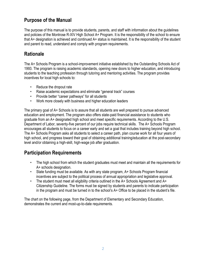## **Purpose of the Manual**

The purpose of this manual is to provide students, parents, and staff with information about the guidelines and policies of the Montrose R-XIV High School A+ Program. It is the responsibility of the school to ensure that A+ designation is achieved and continued A+ status is maintained. It is the responsibility of the student and parent to read, understand and comply with program requirements.

## **Rationale**

The A+ Schools Program is a school-improvement initiative established by the Outstanding Schools Act of 1993. The program is raising academic standards, opening new doors to higher education, and introducing students to the teaching profession through tutoring and mentoring activities. The program provides incentives for local high schools to:

- Reduce the dropout rate
- Raise academic expectations and eliminate "general track" courses
- Provide better "career pathways" for all students
- Work more closely with business and higher education leaders

The primary goal of A+ Schools is to assure that all students are well prepared to pursue advanced education and employment. The program also offers state-paid financial assistance to students who graduate from an A+ designated high school and meet specific requirements. According to the U.S. Department of Labor, seventy-five percent of our jobs require technical skills. The A+ Schools Program encourages all students to focus on a career early and set a goal that includes training beyond high school. The A+ Schools Program asks all students to select a career path, plan course work for all four years of high school, and progress toward their goal of obtaining additional training/education at the post-secondary level and/or obtaining a high-skill, high-wage job after graduation.

# **Participation Requirements**

- The high school from which the student graduates must meet and maintain all the requirements for A+ schools designation.
- State funding must be available. As with any state program, A+ Schools Program financial incentives are subject to the political process of annual appropriation and legislative approval.
- The student must meet all eligibility criteria outlined in the A+ Schools Agreement and A+ Citizenship Guideline. The forms must be signed by students and parents to indicate participation in the program and must be turned in to the school's A+ Office to be placed in the student's file.

The chart on the following page, from the Department of Elementary and Secondary Education, demonstrates the current and most-up-to-date requirements.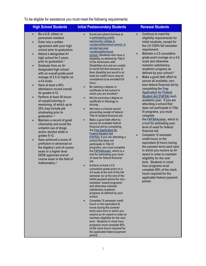To be eligible for assistance you must meet the following requirements:

#### **High School Students Thitial Postsecondary Students Theory Renewal Students**

- **Be a U.S. citizen or permanent resident.**
- **Enter into a written agreement with your high school prior to graduation.**
- **Attend a designated A+ high school for 3 years prior to graduation.<sup>1</sup>**
- **Graduate from an A+ designated high school with an overall grade point average of 2.5 or higher on a 4.0 scale.**
- **Have at least a 95% attendance record overall for grades 9-12.**
- **Perform at least 50 hours of unpaid tutoring or mentoring, of which up to 25% may include job shadowing prior to graduation. <sup>2</sup>**
- **Maintain a record of good citizenship and avoid the unlawful use of drugs and/or alcohol while in grades 9-12.**
- **Have achieved a score of proficient or advanced on the Algebra I end of course exam or a higher level DESE approved end-ofcourse exam in the field of mathematics.<sup>3</sup>**
- **Enroll and attend full-time at a [participating public](http://dhe.mo.gov/ppc/grants/documents/EligibleAplusPostsecondarySchools.pdf)  [community college or](http://dhe.mo.gov/ppc/grants/documents/EligibleAplusPostsecondarySchools.pdf)  [vocational/technical school, or](http://dhe.mo.gov/ppc/grants/documents/EligibleAplusPostsecondarySchools.pdf)  [private two-year](http://dhe.mo.gov/ppc/grants/documents/EligibleAplusPostsecondarySchools.pdf)  [vocational/technical](http://dhe.mo.gov/ppc/grants/documents/EligibleAplusPostsecondarySchools.pdf)  [school.](http://dhe.mo.gov/ppc/grants/documents/EligibleAplusPostsecondarySchools.pdf) (Students who have a disability as defined by Title II of the Americans with Disabilities Act and are unable to enroll full time because of their disability but enroll in at least six credit hours may be considered to be enrolled full time.)**
- **Be seeking a degree or certificate at the school in which you are enrolled.<sup>4</sup>**
- **Not be pursuing a degree or certificate in theology or divinity.**
- **Not have a criminal record preventing receipt of federal Title IV student financial aid.**
- **Make a good faith effort to secure all available federal financial aid by completing the [Free Application for](http://www.fafsa.ed.gov/)  [Federal Student Aid](http://www.fafsa.ed.gov/)  [\(FAFSA\).](http://www.fafsa.ed.gov/) If you are attending a school that does not participate in Title IV programs, you must complete the [FAFSA4caster,](http://www.fafsa.ed.gov/) which is a tool for estimating your level of need for federal financial aid.**
- **Achieve at least a 2.0 cumulative grade point on a 4.0 scale at the end of the fall semester (or at the end of the initial payment period for nonsemester- based programs) and otherwise maintain satisfactory academic progress as defined by your school.**
- **Complete 12 semester credit hours or the equivalent (6 hours during the summer term) each term in which you receive an A+ award in order to maintain eligibility for the next term. Students in clock hour programs must complete 90% of the clock hours required for the applicable federal payment period.**

- **Continue to meet the eligibility requirements for initial students, except for the 2.0 CGPA fall semester requirement.**
- **Maintain a 2.5 cumulative grade point average on a 4.0 scale and otherwise maintain satisfactory academic progress as defined by your school.<sup>5</sup>**
- **Make a good faith effort to secure all available, nonloan federal financial aid by completing the [Free](http://www.fafsa.ed.gov/)  [Application for Federal](http://www.fafsa.ed.gov/)  [Student Aid \(FAFSA\)](http://www.fafsa.ed.gov/) each academic year. If you are attending a school that does not participate in Title IV programs, you must complete**

**the [FAFSA4caster,](http://www.fafsa.ed.gov/) which is a tool for estimating your level of need for federal financial aid.**

 **Complete 12 semester credit hours or the equivalent (6 hours during the summer term) each term in which you receive an A+ award in order to maintain eligibility for the next term. Students in clock hour programs must complete 90% of the clock hours required for the applicable federal payment period.**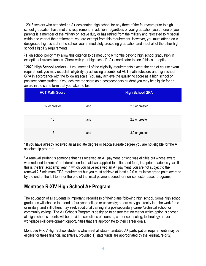<sup>1</sup> 2018 seniors who attended an A+ designated high school for any three of the four years prior to high school graduation have met this requirement. In addition, regardless of your graduation year, if one of your parents is a member of the military on active duty or has retired from the military and relocated to Missouri within one year of their retirement, you are exempt from this requirement. However, you must attend an A+ designated high school in the school year immediately preceding graduation and meet all of the other high school eligibility requirements.

<sup>2</sup> High school policy may allow this criterion to be met up to 6 months beyond high school graduation in exceptional circumstances. Check with your high school's A+ coordinator to see if this is an option.

**<sup>3</sup> 2020 High School seniors** - If you meet all of the eligibility requirements except the end of course exam requirement, you may establish eligibility by achieving a combined ACT math subscore and high school GPA in accordance with the following scale. You may achieve the qualifying score as a high school or postsecondary student. If you achieve the score as a postsecondary student you may be eligible for an award in the same term that you take the test.

| <b>ACT Math Score</b> |     | <b>High School GPA</b> |
|-----------------------|-----|------------------------|
| 17 or greater         | and | 2.5 or greater         |
| 16                    | and | 2.8 or greater         |
| 15                    | and | 3.0 or greater         |

**<sup>4</sup>**If you have already received an associate degree or baccalaureate degree you are not eligible for the A+ scholarship program.

**<sup>5</sup>**A renewal student is someone that has received an A+ payment, or who was eligible but whose award was reduced to zero after federal, non-loan aid was applied to tuition and fees, in a prior academic year. If this is the first academic year in which you have received an A+ payment, you are not subject to the renewal 2.5 minimum GPA requirement but you must achieve at least a 2.0 cumulative grade point average by the end of the fall term, or the end of the initial payment period for non-semester based programs.

#### **Montrose R-XIV High School A+ Program**

The education of all students is important, regardless of their plans following high school. Some high school graduates will choose to attend a four-year college or university; others may go directly into the work force or military; and still others may seek additional training at a postsecondary career/technical school or community college. The A+ Schools Program is designed to ensure that no matter which option is chosen, all high school students will be provided selections of courses, career counseling, technology and/or workplace skill development opportunities that are appropriate to their career goals.

Montrose R-XIV High School students who meet all state-mandated A+ participation requirements may be eligible for these financial incentives, provided 1) state funds are appropriated by the legislature or 2)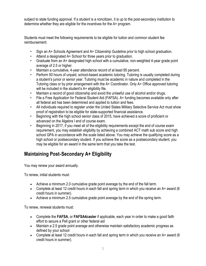subject to state funding approval. If a student is a noncitizen, it is up to the post-secondary institution to determine whether they are eligible for the incentives for the A+ program.

Students must meet the following requirements to be eligible for tuition and common student fee reimbursement:

- Sign an A+ Schools Agreement and A+ Citizenship Guideline prior to high school graduation.
- Attend a designated A+ School for three years prior to graduation.
- Graduate from an A+ designated high school with a cumulative, non-weighted 4-year grade point average of 2.5 or higher.
- Maintain a cumulative, 4-year attendance record of at least 95 percent.
- Perform 50 hours of unpaid, school-based academic tutoring. Tutoring is usually completed during a student's junior or senior year. Tutoring must be academic in nature and completed in the Tutoring class or by prior arrangement with the A+ Coordinator. Only A+ Office approved tutoring will be included in the student's A+ eligibility file.
- Maintain a record of good citizenship and avoid the unlawful use of alcohol and/or drugs.
- File a Free Application for Federal Student Aid (FAFSA). A+ funding becomes available only after all federal aid has been determined and applied to tuition and fees.
- All individuals required to register under the United States Military Selective Service Act must show proof of registration to be eligible for state-supported financial assistance.
- Beginning with the high school senior class of 2015, have achieved a score of proficient or advanced on the Algebra I end of course exam.
- Beginning in 2017, if you meet all of the eligibility requirements except the end of course exam requirement, you may establish eligibility by achieving a combined ACT math sub score and high school GPA in accordance with the scale listed above. You may achieve the qualifying score as a high school or postsecondary student. If you achieve the score as a postsecondary student, you may be eligible for an award in the same term that you take the test.

# **Maintaining Post**‐**Secondary A+ Eligibility**

You may renew your award annually.

To renew, initial students must:

- Achieve a minimum 2.0 cumulative grade point average by the end of the fall term.
- Complete at least 12 credit hours in each fall and spring term in which you receive an A+ award (6 credit hours in summer).
- Achieve a minimum 2.5 cumulative grade point average by the end of the spring term.

To renew, renewal students must:

- Complete the **[FAFSA](http://www.fafsa.ed.gov/)**, or **[FAFSA4caster](http://www.fafsa.ed.gov/)** if applicable, each year in order to make a good faith effort to secure a Pell grant or other federal aid
- Maintain a 2.5 grade point average and otherwise maintain satisfactory academic progress as defined by your school
- Complete at least 12 credit hours in each fall and spring term in which you receive an  $A<sup>+</sup>$  award (6) credit hours in summer).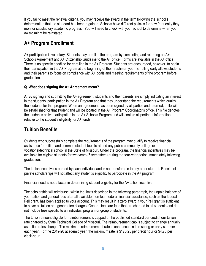If you fail to meet the renewal criteria, you may receive the award in the term following the school's determination that the standard has been regained. Schools have different policies for how frequently they monitor satisfactory academic progress. You will need to check with your school to determine when your award might be reinstated.

# **A+ Program Enrollment**

A+ participation is voluntary. Students may enroll in the program by completing and returning an A+ Schools Agreement and A+ Citizenship Guideline to the A+ office. Forms are available in the A+ office. There is no specific deadline for enrolling in the A+ Program. Students are encouraged, however, to begin their participation in the A+ Program at the beginning of their freshman year. Enrolling early allows students and their parents to focus on compliance with A+ goals and meeting requirements of the program before graduation.

#### **Q. What does signing the A+ Agreement mean?**

**A.** By signing and submitting the A+ agreement, students and their parents are simply indicating an interest in the students' participation in the A+ Program and that they understand the requirements which qualify the students for that program. When an agreement has been signed by all parties and returned, a file will be established for that student and will be located in the A+ Program Coordinator's office. This file denotes the student's active participation in the A+ Schools Program and will contain all pertinent information relative to the student's eligibility for A+ funds.

# **Tuition Benefits**

Students who successfully complete the requirements of the program may qualify to receive financial assistance for tuition and common student fees to attend any public community college or vocational/technical school in the State of Missouri. Under the program, the financial incentives may be available for eligible students for two years (6 semesters) during the four-year period immediately following graduation.

The tuition incentive is earned by each individual and is not transferable to any other student. Receipt of private scholarships will not affect any student's eligibility to participate in the A+ program.

Financial need is not a factor in determining student eligibility for the A+ tuition incentive.

The scholarship will reimburse, within the limits described in the following paragraph, the unpaid balance of your tuition and general fees after all available, non-loan federal financial assistance, such as the federal Pell grant, has been applied to your account. This may result in a zero award if your Pell grant is sufficient to cover all tuition and general fee charges. General fees are fees that are charged to all students and do not include fees specific to an individual program or group of students.

The tuition amount eligible for reimbursement is capped at the published standard per credit hour tuition rate charged by State Technical College of Missouri. The reimbursement cap is subject to change annually as tuition rates change. The maximum reimbursement rate is announced in late spring or early summer each year. For the 2019-20 academic year, the maximum rate is \$175.25 per credit hour or \$4.70 per clock-hour.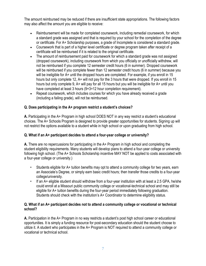The amount reimbursed may be reduced if there are insufficient state appropriations. The following factors may also affect the amount you are eligible to receive:

- Reimbursement will be made for completed coursework, including remedial coursework, for which a standard grade was assigned and that is required by your school for the completion of the degree or certificate. For A+ Scholarship purposes, a grade of Incomplete is considered a standard grade.
- Coursework that is part of a higher level certificate or degree program taken after receipt of a certificate will be reimbursed if it is related to the original certificate.
- The amount of reimbursement paid for coursework for which a standard grade was not assigned (dropped coursework), including coursework from which you officially or unofficially withdrew, will not be reimbursed if you complete 12 semester credit hours (6 in summer). Dropped coursework will be reimbursed if you complete fewer than 12 semester credit hours (6 in summer) because you will be ineligible for A+ until the dropped hours are completed. For example, if you enroll in 15 hours but only complete 12, A+ will not pay for the 3 hours that were dropped. If you enroll in 15 hours but only complete 9, A+ will pay for all 15 hours but you will be ineligible for A+ until you have completed at least 3 hours (9+3=12 hour completion requirement).
- Repeat coursework, which includes courses for which you have already received a grade (including a failing grade), will not be reimbursed.

#### **Q. Does participating in the A+ program restrict a student's choices?**

**A.** Participating in the A+ Program in high school DOES NOT in any way restrict a student's educational choices. The A+ Schools Program is designed to provide greater opportunities for students. Signing up will not restrict the options available to a student while in high school or upon graduating from high school.

#### **Q. What if an A+ participant decides to attend a four-year college or university?**

**A.** There are no repercussions for participating in the A+ Program in high school and completing the student eligibility requirements. Many students will develop plans to attend a four-year college or university following high school. (The A+ Schools Scholarship incentive MAY NOT be applied to costs associated with a four-year college or university.)

- Students eligible for A+ tuition benefits may opt to attend a community college for two years, earn an Associate's Degree, or simply earn basic credit hours; then transfer those credits to a four-year college/university.
- If an A+ eligible student should withdraw from a four-year institution with at least a 2.5 GPA, he/she could enroll at a Missouri public community college or vocational-technical school and may still be eligible for A+ tuition benefits during the four-year period immediately following graduation. Students should check with the institution's A+ Coordinator to determine eligibility status.

#### **Q. What if an A+ participant decides not to attend a community college or vocational or technical school?**

**A.** Participation in the A+ Program in no way restricts a student's post high school career or educational opportunities. It is simply a funding resource for post-secondary education should the student choose to utilize it. A student who participates in the A+ Program is NOT required to attend a community college or vocational or technical school.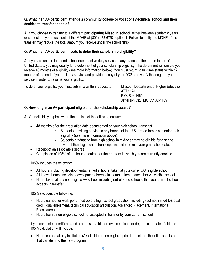#### **Q. What if an A+ participant attends a community college or vocational/technical school and then decides to transfer schools?**

**A.** If you choose to transfer to a different **[participating Missouri school](http://dhe.mo.gov/documents/EligibleAplusPostsecondarySchools.pdf)**, either between academic years or semesters, you must contact the MDHE at (800) 473-6757, option 4. Failure to notify the MDHE of the transfer may reduce the total amount you receive under the scholarship.

#### **Q. What if an A+ participant needs to defer their scholarship eligibility?**

**A.** If you are unable to attend school due to active duty service to any branch of the armed forces of the United States, you may qualify for a deferment of your scholarship eligibility. The deferment will ensure you receive 48 months of eligibility (see more information below). You must return to full-time status within 12 months of the end of your military service and provide a copy of your DD214 to verify the length of your service in order to resume your eligibility.

To defer your eligibility you must submit a written request to: Missouri Department of Higher Education

 $ATTN: A+$ P.O. Box 1469 Jefferson City, MO 65102-1469

#### **Q. How long is an A+ participant eligible for the scholarship award?**

**A.** Your eligibility expires when the earliest of the following occurs:

- 48 months after the graduation date documented on your high school transcript.
	- Students providing service to any branch of the U.S. armed forces can defer their eligibility (see more information above).
	- Students graduating from high school in mid-year may be eligible for a spring award if their high school transcripts indicate the mid-year graduation date.
- Receipt of an associate's degree
- Completion of 105% of the hours required for the program in which you are currently enrolled

105% includes the following:

- All hours, including developmental/remedial hours, taken at your current A+ eligible school
- All known hours, including developmental/remedial hours, taken at any other A+ eligible school
- Hours taken at any non-eligible A+ school, including out-of-state schools, that your current school accepts in transfer

105% excludes the following:

- Hours earned for work performed before high school graduation, including (but not limited to): dual credit, dual enrollment, technical education articulation, Advanced Placement, International **Baccalaureate**
- Hours from a non-eligible school not accepted in transfer by your current school

If you complete a certificate and progress to a higher-level certificate or degree in a related field, the 105% calculation will include:

 Hours earned at any institution (A+ eligible or non-eligible) prior to receipt of the initial certificate that transfer into the new program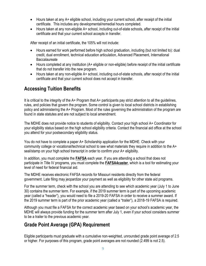- Hours taken at any A+ eligible school, including your current school, after receipt of the initial certificate. This includes any developmental/remedial hours completed.
- Hours taken at any non-eligible A+ school, including out-of-state schools, after receipt of the initial certificate and that your current school accepts in transfer.

After receipt of an initial certificate, the 105% will not include:

- Hours earned for work performed before high school graduation, including (but not limited to): dual credit, dual enrollment, technical education articulation, Advanced Placement, International Baccalaureate
- Hours completed at any institution (A+ eligible or non-eligible) before receipt of the initial certificate that do not transfer into the new program.
- Hours taken at any non-eligible A+ school, including out-of-state schools, after receipt of the initial certificate and that your current school does not accept in transfer.

# **Accessing Tuition Benefits**

It is critical to the integrity of the A+ Program that A+ participants pay strict attention to all the guidelines, rules, and policies that govern the program. Some control is given to local school districts in establishing policy and administering the A+ Program. Most of the rules governing the administration of the program are found in state statutes and are not subject to local amendment.

The MDHE does not provide notice to students of eligibility. Contact your high school A+ Coordinator for your eligibility status based on the high school eligibility criteria. Contact the financial aid office at the school you attend for your postsecondary eligibility status.

You do not have to complete a paper A+ Scholarship application for the MDHE. Check with your community college or vocational/technical school to see what materials they require in addition to the A+ seal/stamp on your high school transcript in order to confirm your A+ eligibility.

In addition, you must complete the **[FAFSA](http://www.fafsa.ed.gov/)** each year. If you are attending a school that does not participate in Title IV programs, you must complete the **[FAFSA4caster](http://www.fafsa.ed.gov/)**, which is a tool for estimating your level of need for federal financial aid.

The MDHE receives electronic FAFSA records for Missouri residents directly from the federal government. Late filing may jeopardize your payment as well as eligibility for other state aid programs.

For the summer term, check with the school you are attending to see which academic year (July 1 to June 30) contains the summer term. For example, if the 2019 summer term is part of the upcoming academic year (called a "header"), you would need to file a 2019-20 FAFSA in order to receive a summer award. If the 2019 summer term is part of the prior academic year (called a "trailer"), a 2018-19 FAFSA is required.

Although you must file a FAFSA for the correct academic year based on your school's academic year, the MDHE will always provide funding for the summer term after July 1, even if your school considers summer to be a trailer to the previous academic year.

# **Grade Point Average (GPA) Requirement**

Eligible participants must graduate with a cumulative non-weighted, unrounded grade point average of 2.5 or higher. For purposes of this program, grade point averages are not rounded (2.499 is not 2.5).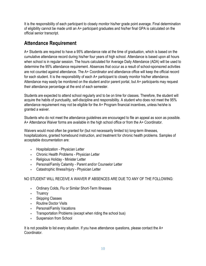It is the responsibility of each participant to closely monitor his/her grade point average. Final determination of eligibility cannot be made until an A+ participant graduates and his/her final GPA is calculated on the official senior transcript.

### **Attendance Requirement**

A+ Students are required to have a 95% attendance rate at the time of graduation, which is based on the cumulative attendance record during his/her four years of high school. Attendance is based upon all hours when school is in regular session. The hours calculated for Average Daily Attendance (ADA) will be used to determine the 95% attendance requirement. Absences that occur as a result of school-sponsored activities are not counted against attendance. The A+ Coordinator and attendance office will keep the official record for each student. It is the responsibility of each A+ participant to closely monitor his/her attendance. Attendance may easily be monitored on the student and/or parent portal, but A+ participants may request their attendance percentage at the end of each semester.

Students are expected to attend school regularly and to be on time for classes. Therefore, the student will acquire the habits of punctuality, self-discipline and responsibility. A student who does not meet the 95% attendance requirement may not be eligible for the A+ Program financial incentives, unless he/she is granted a waiver.

Students who do not meet the attendance guidelines are encouraged to file an appeal as soon as possible. A+ Attendance Waiver forms are available in the high school office or from the A+ Coordinator.

Waivers would most often be granted for (but not necessarily limited to) long-term illnesses, hospitalizations, granted homebound instruction, and treatment for chronic health problems. Samples of acceptable documentation are:

- **•** Hospitalization Physician Letter
- Chronic Health Problems Physician Letter
- Religious Holiday Minister Letter
- Personal/Family Calamity Parent and/or Counselor Letter
- **Catastrophic Illness/Injury Physician Letter**

NO STUDENT WILL RECEIVE A WAIVER IF ABSENCES ARE DUE TO ANY OF THE FOLLOWING:

- Ordinary Colds, Flu or Similar Short-Term Illnesses
- Truancy
- Skipping Classes
- Routine Doctor Visits
- Personal/Family Vacations
- **Transportation Problems (except when riding the school bus)**
- Suspension from School

It is not possible to list every situation. If you have attendance questions, please contact the  $A<sup>+</sup>$ Coordinator.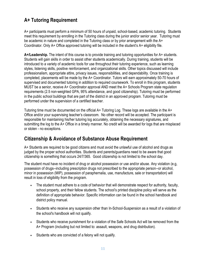# **A+ Tutoring Requirement**

A+ participants must perform a minimum of 50 hours of unpaid, school-based, academic tutoring. Students meet this requirement by enrolling in the Tutoring class during the junior and/or senior year. Tutoring must be academic in nature and completed in the Tutoring class or by prior arrangement with the A+ Coordinator. Only A+ Office approved tutoring will be included in the student's A+ eligibility file.

**A+/Leadership.** The intent of this course is to provide training and tutoring opportunities for A+ students. Students will gain skills in order to assist other students academically. During training, students will be introduced to a variety of academic tools for use throughout their tutoring experience, such as learning styles, listening skills, positive reinforcement, and organizational skills. Other topics discussed will include professionalism, appropriate attire, privacy issues, responsibilities, and dependability. Once training is completed, placements will be made by the A+ Coordinator. Tutors will earn approximately 50-70 hours of supervised and documented tutoring in addition to required coursework. To enroll in this program, students MUST be a senior, receive A+ Coordinator approval AND meet the A+ Schools Program state regulation requirements (2.5 non-weighted GPA, 95% attendance, and good citizenship). Tutoring must be performed in the public school buildings that are part of the district in an approved program. Tutoring must be performed under the supervision of a certified teacher.

Tutoring time must be documented on the official  $A+$  Tutoring Log. These logs are available in the  $A+$ Office and/or your supervising teacher's classroom. No other record will be accepted. The participant is responsible for maintaining his/her tutoring log accurately, obtaining the necessary signatures, and submitting the log to the A+ Office in a timely manner. No credit will be awarded for logs that are misplaced or stolen - no exceptions.

#### **Citizenship & Avoidance of Substance Abuse Requirement**

A+ Students are required to be good citizens and must avoid the unlawful use of alcohol and drugs as judged by the proper school authorities. Students and parents/guardians need to be aware that good citizenship is something that occurs 24/7/365. Good citizenship is not limited to the school day.

The student must have no incident of drug or alcohol possession or use and/or abuse. Any violation (e.g, possession of drugs--including prescription drugs not prescribed to the appropriate person--or alcohol, minor in possession (MIP), possession of paraphernalia, use, manufacture, sale or transportation) will result in loss of eligibility from the program.

- The student must adhere to a code of behavior that will demonstrate respect for authority, faculty, school property, and their fellow students. The school's printed discipline policy will serve as the definition of appropriate behavior. Specific information can be found in the school handbook and district policy manual.
- Students who receive any suspension other than In-School-Suspension as a result of a violation of the school's handbook will not qualify.
- Students who receive punishment for a violation of the Safe Schools Act will be removed from the A+ Program (including but not limited to: assault, weapons, and drug distribution).
- Students who are convicted of a felony will not qualify.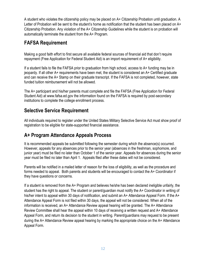A student who violates the citizenship policy may be placed on A+ Citizenship Probation until graduation. A Letter of Probation will be sent to the student's home as notification that the student has been placed on A+ Citizenship Probation. Any violation of the A+ Citizenship Guidelines while the student is on probation will automatically terminate the student from the A+ Program.

## **FAFSA Requirement**

Making a good faith effort to first secure all available federal sources of financial aid that don't require repayment (Free Application for Federal Student Aid) is an import requirement of A+ eligibility.

If a student fails to file the FAFSA prior to graduation from high school, access to A+ funding may be in jeopardy. If all other A+ requirements have been met, the student is considered an A+ Certified graduate and can receive the A+ Stamp on their graduate transcript. If the FAFSA is not completed, however, state funded tuition reimbursement will not be allowed.

The A+ participant and his/her parents must complete and file the FAFSA (Free Application for Federal Student Aid) at www.fafsa.ed.gov the information found on the FAFSA is required by post-secondary institutions to complete the college enrollment process.

#### **Selective Service Requirement**

All individuals required to register under the United States Military Selective Service Act must show proof of registration to be eligible for state-supported financial assistance.

# **A+ Program Attendance Appeals Process**

It is recommended appeals be submitted following the semester during which the absence(s) occurred. However, appeals for any absences prior to the senior year (absences in the freshman, sophomore, and junior year) must be filed no later than October 1 of the senior year. Appeals for absences during the senior year must be filed no later than April 1. Appeals filed after these dates will not be considered.

Parents will be notified in a mailed letter of reason for the loss of eligibility, as well as the procedure and forms needed to appeal. Both parents and students will be encouraged to contact the A+ Coordinator if they have questions or concerns.

If a student is removed from the A+ Program and believes he/she has been declared ineligible unfairly, the student has the right to appeal. The student or parent/guardian must notify the A+ Coordinator in writing of his/her intent to appeal within 30 days of notification, and submit an A+ Attendance Appeal Form. If the A+ Attendance Appeal Form is not filed within 30 days, the appeal will not be considered. When all of the information is received, an A+ Attendance Review appeal hearing will be granted. The A+ Attendance Review Committee shall hear the appeal within 10 days of receiving a written request and A+ Attendance Appeal Form, and return its decision to the student in writing. Parent/guardians may request to be present during the A+ Attendance Review appeal hearing by marking the appropriate choice on the A+ Attendance Appeal Form.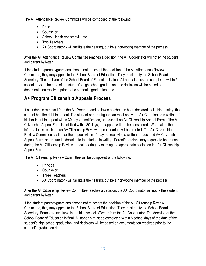The A+ Attendance Review Committee will be composed of the following:

- Principal
- Counselor
- School Health Assistant/Nurse
- Two Teachers
- A+ Coordinator will facilitate the hearing, but be a non-voting member of the process

After the A+ Attendance Review Committee reaches a decision, the A+ Coordinator will notify the student and parent by letter.

If the student/parents/guardians choose not to accept the decision of the A+ Attendance Review Committee, they may appeal to the School Board of Education. They must notify the School Board Secretary. The decision of the School Board of Education is final. All appeals must be completed within 5 school days of the date of the student's high school graduation, and decisions will be based on documentation received prior to the student's graduation date.

# **A+ Program Citizenship Appeals Process**

If a student is removed from the A+ Program and believes he/she has been declared ineligible unfairly, the student has the right to appeal. The student or parent/guardian must notify the A+ Coordinator in writing of his/her intent to appeal within 30 days of notification, and submit an A+ Citizenship Appeal Form. If the A+ Citizenship Appeal Form is not filed within 30 days, the appeal will not be considered. When all of the information is received, an A+ Citizenship Review appeal hearing will be granted. The A+ Citizenship Review Committee shall hear the appeal within 10 days of receiving a written request and A+ Citizenship Appeal Form, and return its decision to the student in writing. Parent/guardians may request to be present during the A+ Citizenship Review appeal hearing by marking the appropriate choice on the A+ Citizenship Appeal Form.

The A+ Citizenship Review Committee will be composed of the following:

- Principal
- Counselor
- Three Teachers
- A+ Coordinator will facilitate the hearing, but be a non-voting member of the process

After the A+ Citizenship Review Committee reaches a decision, the A+ Coordinator will notify the student and parent by letter.

If the student/parents/guardians choose not to accept the decision of the A+ Citizenship Review Committee, they may appeal to the School Board of Education. They must notify the School Board Secretary. Forms are available in the high school office or from the A+ Coordinator. The decision of the School Board of Education is final. All appeals must be completed within 5 school days of the date of the student's high school graduation, and decisions will be based on documentation received prior to the student's graduation date.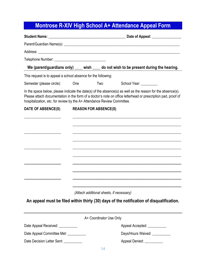# **Montrose R-XIV High School A+ Attendance Appeal Form**

|                                                                         |                         | We (parent/guardians only) ____ wish ____ do not wish to be present during the hearing.                                                                                                                                      |
|-------------------------------------------------------------------------|-------------------------|------------------------------------------------------------------------------------------------------------------------------------------------------------------------------------------------------------------------------|
| This request is to appeal a school absence for the following:           |                         |                                                                                                                                                                                                                              |
| Semester (please circle):                                               | One<br>Two              | School Year: _________                                                                                                                                                                                                       |
| hospitalization, etc. for review by the A+ Attendance Review Committee. |                         | In the space below, please indicate the date(s) of the absence(s) as well as the reason for the absence(s).<br>Please attach documentation in the form of a doctor's note on office letterhead or prescription pad, proof of |
| DATE OF ABSENCE(S)<br><b>REASON FOR ABSENCE(S)</b>                      |                         |                                                                                                                                                                                                                              |
|                                                                         |                         |                                                                                                                                                                                                                              |
|                                                                         |                         |                                                                                                                                                                                                                              |
|                                                                         |                         |                                                                                                                                                                                                                              |
|                                                                         |                         |                                                                                                                                                                                                                              |
|                                                                         |                         |                                                                                                                                                                                                                              |
|                                                                         |                         |                                                                                                                                                                                                                              |
|                                                                         |                         |                                                                                                                                                                                                                              |
|                                                                         |                         |                                                                                                                                                                                                                              |
|                                                                         |                         |                                                                                                                                                                                                                              |
|                                                                         |                         | (Attach additional sheets, if necessary)                                                                                                                                                                                     |
|                                                                         |                         | An appeal must be filed within thirty (30) days of the notification of disqualification.                                                                                                                                     |
|                                                                         | A+ Coordinator Use Only |                                                                                                                                                                                                                              |
| Date Appeal Received: ___________                                       |                         | Appeal Accepted: National Appeal Accepted:                                                                                                                                                                                   |
| Date Appeal Committee Met: _________                                    |                         | Days/Hours Waived: ___________                                                                                                                                                                                               |
| Date Decision Letter Sent: __________                                   |                         | Appeal Denied: __________                                                                                                                                                                                                    |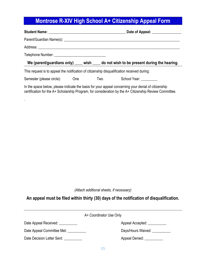# **Montrose R-XIV High School A+ Citizenship Appeal Form**

|                                                                                             |            | Date of Appeal: ________________                                                                                                                                                                               |
|---------------------------------------------------------------------------------------------|------------|----------------------------------------------------------------------------------------------------------------------------------------------------------------------------------------------------------------|
|                                                                                             |            |                                                                                                                                                                                                                |
|                                                                                             |            |                                                                                                                                                                                                                |
|                                                                                             |            |                                                                                                                                                                                                                |
|                                                                                             |            | We (parent/guardians only) ____ wish ____ do not wish to be present during the hearing.                                                                                                                        |
| This request is to appeal the notification of citizenship disqualification received during: |            |                                                                                                                                                                                                                |
| Semester (please circle): One                                                               | <b>Two</b> | School Year: _________                                                                                                                                                                                         |
|                                                                                             |            | In the space below, please indicate the basis for your appeal concerning your denial of citizenship<br>certification for the A+ Scholarship Program, for consideration by the A+ Citizenship Review Committee. |

.

*(Attach additional sheets, if necessary)*

#### **An appeal must be filed within thirty (30) days of the notification of disqualification.**

| A+ Coordinator Use Only    |                                        |  |
|----------------------------|----------------------------------------|--|
| Date Appeal Received:      | Appeal Accepted: ____________          |  |
| Date Appeal Committee Met: | Days/Hours Waived:                     |  |
| Date Decision Letter Sent: | Appeal Denied: National Appeal Denied: |  |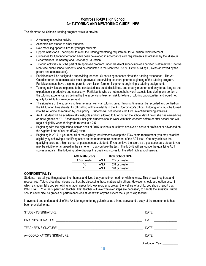#### **Montrose R-XIV High School A+ TUTORING AND MENTORING GUIDELINES**

The Montrose A+ Schools tutoring program exists to provide:

- A meaningful service activity.
- Academic assistance to other students.
- Role modeling opportunities for younger students.
- Opportunities for A+ participant to meet the tutoring/mentoring requirement for A+ tuition reimbursement.
- Guidelines for tutoring/mentoring have been developed in accordance with requirements established by the Missouri Department of Elementary and Secondary Education.
- Tutoring activities must be part of an approved program under the direct supervision of a certified staff member, involve Montrose public school students, and be conducted in the Montrose R-XIV District buildings (unless approved by the parent and administrator).
- Participants will be assigned a supervising teacher. Supervising teachers direct the tutoring experience. The A+ Coordinator or the administrator must approve all supervising teachers prior to beginning of the tutoring program. Participants must have a signed parental permission form on file prior to beginning a tutoring assignment.
- Tutoring activities are expected to be conducted in a quiet, disciplined, and orderly manner, and only for as long as the experience is productive and necessary. Participants who do not meet behavioral expectations during any portion of the tutoring experience, as defined by the supervising teacher, risk forfeiture of tutoring opportunities and would not qualify for A+ tuition reimbursement.
- The signature of the supervising teacher must verify all tutoring time. Tutoring time must be recorded and verified on the A+ tutoring time sheets. An official log will be available in the A+ Coordinator's office. Tutoring logs must be turned into the A+ office as required by local policy. Students will not receive credit for unverified tutoring activities.
- An A+ student will be academically ineligible and not allowed to tutor during the school day if he or she has earned one or more grades of "F". Academically ineligible students should work with their teachers before or after school and will regain eligibility when their grade returns to a 2.5.
- Beginning with the high school senior class of 2015, students must have achieved a score of proficient or advanced on the Algebra I end of course (EOC) exam.
- Beginning in 2017, if you meet all of the eligibility requirements except the EOC exam requirement, you may establish eligibility by achieving a qualifying score on the mathematics component of the ACT test. You may achieve the qualifying score as a high school or postsecondary student. If you achieve the score as a postsecondary student, you may be eligible for an award in the same term that you take the test. The MDHE will announce the qualifying ACT scores annually. The following table displays the qualifying scores for the 2020 high school seniors.

| <b>ACT Math Score</b> |     | <b>High School GPA</b> |
|-----------------------|-----|------------------------|
| 17 or greater         | and | 2.5 or greater         |
| 16                    | AND | 2.8 or greater         |
| 15                    | AND | 3.0 or greater         |

#### **CONFIDENTIALITY**

Students may tell you things about their homes and lives that you neither need nor wish to know. This shows they trust and respect you. Tutors should not violate that trust by discussing these matters with others. However, should a situation occur in which a student tells you something an adult needs to know in order to protect the welfare of a child, you should report that IMMEDIATELY to the supervising teacher. That teacher will take whatever steps are necessary to handle the situation. Tutors should never discuss grades or performance of a student with anyone except the supervising teacher.

I have read and understand all of the A+ tutoring/mentoring guidelines as printed above and a copy of the requirements has been provided to me.

| DATE: _________________                                                                                                                                                                                                       |
|-------------------------------------------------------------------------------------------------------------------------------------------------------------------------------------------------------------------------------|
| DATE: ____________                                                                                                                                                                                                            |
| DATE: and the state of the state of the state of the state of the state of the state of the state of the state of the state of the state of the state of the state of the state of the state of the state of the state of the |
| DATE: and the contract of the contract of the contract of the contract of the contract of the contract of the contract of the contract of the contract of the contract of the contract of the contract of the contract of the |
| <b>Graduation Year</b>                                                                                                                                                                                                        |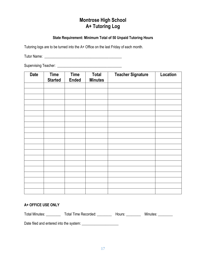#### **Montrose High School A+ Tutoring Log**

#### **State Requirement: Minimum Total of 50 Unpaid Tutoring Hours**

Tutoring logs are to be turned into the A+ Office on the last Friday of each month.

Tutor Name: \_\_\_\_\_\_\_\_\_\_\_\_\_\_\_\_\_\_\_\_\_\_\_\_\_\_\_\_\_\_\_\_\_\_\_\_\_\_\_\_\_\_

Supervising Teacher: \_\_\_\_\_\_\_\_\_\_\_\_\_\_\_\_\_\_\_\_\_\_\_\_\_\_\_\_\_\_\_\_\_\_\_

| <b>Date</b> | <b>Time</b><br><b>Started</b> | <b>Time</b><br><b>Ended</b> | <b>Total</b><br><b>Minutes</b> | <b>Teacher Signature</b> | Location |
|-------------|-------------------------------|-----------------------------|--------------------------------|--------------------------|----------|
|             |                               |                             |                                |                          |          |
|             |                               |                             |                                |                          |          |
|             |                               |                             |                                |                          |          |
|             |                               |                             |                                |                          |          |
|             |                               |                             |                                |                          |          |
|             |                               |                             |                                |                          |          |
|             |                               |                             |                                |                          |          |
|             |                               |                             |                                |                          |          |
|             |                               |                             |                                |                          |          |
|             |                               |                             |                                |                          |          |
|             |                               |                             |                                |                          |          |
|             |                               |                             |                                |                          |          |
|             |                               |                             |                                |                          |          |
|             |                               |                             |                                |                          |          |
|             |                               |                             |                                |                          |          |
|             |                               |                             |                                |                          |          |
|             |                               |                             |                                |                          |          |
|             |                               |                             |                                |                          |          |
|             |                               |                             |                                |                          |          |
|             |                               |                             |                                |                          |          |

#### **A+ OFFICE USE ONLY**

Total Minutes: \_\_\_\_\_\_\_\_\_\_ Total Time Recorded: \_\_\_\_\_\_\_\_\_ Hours: \_\_\_\_\_\_\_\_ Minutes: \_\_\_\_\_\_\_\_

Date filed and entered into the system: \_\_\_\_\_\_\_\_\_\_\_\_\_\_\_\_\_\_\_\_